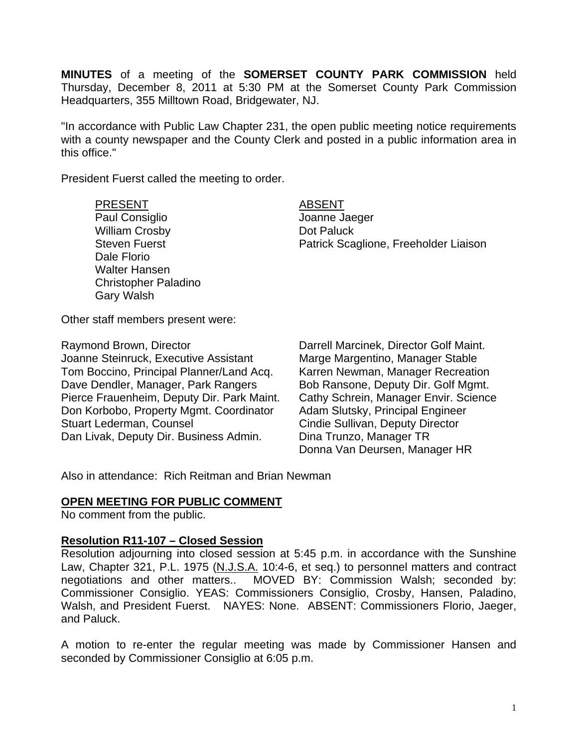**MINUTES** of a meeting of the **SOMERSET COUNTY PARK COMMISSION** held Thursday, December 8, 2011 at 5:30 PM at the Somerset County Park Commission Headquarters, 355 Milltown Road, Bridgewater, NJ.

"In accordance with Public Law Chapter 231, the open public meeting notice requirements with a county newspaper and the County Clerk and posted in a public information area in this office."

President Fuerst called the meeting to order.

#### PRESENT ABSENT

Paul Consiglio and The Joanne Jaeger William Crosby **Dot Paluck** Dale Florio Walter Hansen Christopher Paladino Gary Walsh

Steven Fuerst **Patrick Scaglione, Freeholder Liaison** 

Other staff members present were:

Raymond Brown, Director **Natissal Controlling Controlling Provint** Darrell Marcinek, Director Golf Maint.<br>Joanne Steinruck, Executive Assistant Marge Margentino, Manager Stable Joanne Steinruck, Executive Assistant Tom Boccino, Principal Planner/Land Acq. Karren Newman, Manager Recreation Dave Dendler, Manager, Park Rangers Bob Ransone, Deputy Dir. Golf Mgmt. Pierce Frauenheim, Deputy Dir. Park Maint. Cathy Schrein, Manager Envir. Science Don Korbobo, Property Mgmt. Coordinator Adam Slutsky, Principal Engineer Stuart Lederman, Counsel **Cindie Sullivan, Deputy Director** Dan Livak, Deputy Dir. Business Admin. Dina Trunzo, Manager TR

Donna Van Deursen, Manager HR

Also in attendance: Rich Reitman and Brian Newman

## **OPEN MEETING FOR PUBLIC COMMENT**

No comment from the public.

### **Resolution R11-107 – Closed Session**

Resolution adjourning into closed session at 5:45 p.m. in accordance with the Sunshine Law, Chapter 321, P.L. 1975 (N.J.S.A. 10:4-6, et seq.) to personnel matters and contract negotiations and other matters.. MOVED BY: Commission Walsh; seconded by: Commissioner Consiglio. YEAS: Commissioners Consiglio, Crosby, Hansen, Paladino, Walsh, and President Fuerst. NAYES: None. ABSENT: Commissioners Florio, Jaeger, and Paluck.

A motion to re-enter the regular meeting was made by Commissioner Hansen and seconded by Commissioner Consiglio at 6:05 p.m.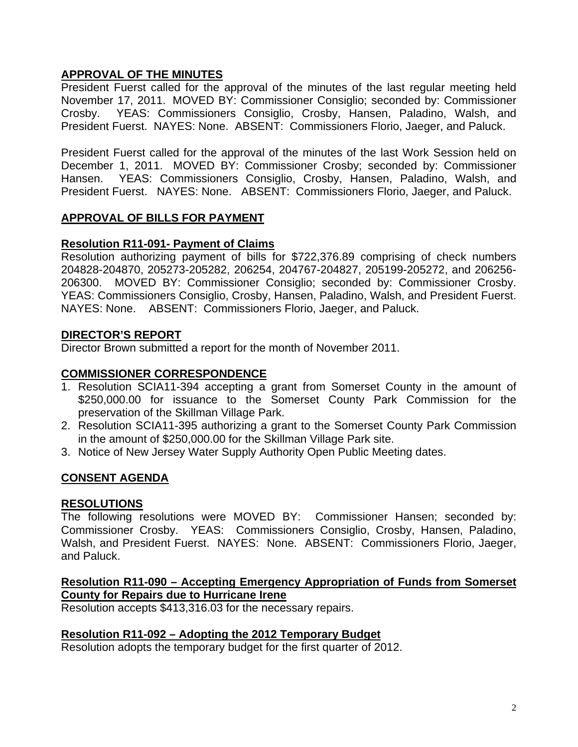# **APPROVAL OF THE MINUTES**

President Fuerst called for the approval of the minutes of the last regular meeting held November 17, 2011. MOVED BY: Commissioner Consiglio; seconded by: Commissioner Crosby. YEAS: Commissioners Consiglio, Crosby, Hansen, Paladino, Walsh, and President Fuerst. NAYES: None. ABSENT: Commissioners Florio, Jaeger, and Paluck.

President Fuerst called for the approval of the minutes of the last Work Session held on December 1, 2011. MOVED BY: Commissioner Crosby; seconded by: Commissioner Hansen. YEAS: Commissioners Consiglio, Crosby, Hansen, Paladino, Walsh, and President Fuerst. NAYES: None. ABSENT: Commissioners Florio, Jaeger, and Paluck.

# **APPROVAL OF BILLS FOR PAYMENT**

# **Resolution R11-091- Payment of Claims**

Resolution authorizing payment of bills for \$722,376.89 comprising of check numbers 204828-204870, 205273-205282, 206254, 204767-204827, 205199-205272, and 206256- 206300. MOVED BY: Commissioner Consiglio; seconded by: Commissioner Crosby. YEAS: Commissioners Consiglio, Crosby, Hansen, Paladino, Walsh, and President Fuerst. NAYES: None. ABSENT: Commissioners Florio, Jaeger, and Paluck.

# **DIRECTOR'S REPORT**

Director Brown submitted a report for the month of November 2011.

# **COMMISSIONER CORRESPONDENCE**

- 1. Resolution SCIA11-394 accepting a grant from Somerset County in the amount of \$250,000.00 for issuance to the Somerset County Park Commission for the preservation of the Skillman Village Park.
- 2. Resolution SCIA11-395 authorizing a grant to the Somerset County Park Commission in the amount of \$250,000.00 for the Skillman Village Park site.
- 3. Notice of New Jersey Water Supply Authority Open Public Meeting dates.

# **CONSENT AGENDA**

## **RESOLUTIONS**

The following resolutions were MOVED BY: Commissioner Hansen; seconded by: Commissioner Crosby. YEAS: Commissioners Consiglio, Crosby, Hansen, Paladino, Walsh, and President Fuerst. NAYES: None. ABSENT: Commissioners Florio, Jaeger, and Paluck.

# **Resolution R11-090 – Accepting Emergency Appropriation of Funds from Somerset County for Repairs due to Hurricane Irene**

Resolution accepts \$413,316.03 for the necessary repairs.

## **Resolution R11-092 – Adopting the 2012 Temporary Budget**

Resolution adopts the temporary budget for the first quarter of 2012.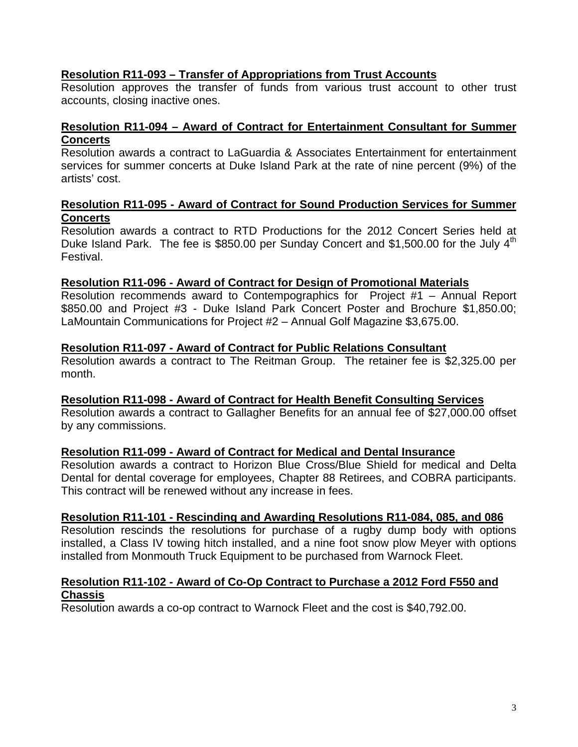# **Resolution R11-093 – Transfer of Appropriations from Trust Accounts**

Resolution approves the transfer of funds from various trust account to other trust accounts, closing inactive ones.

# **Resolution R11-094 – Award of Contract for Entertainment Consultant for Summer Concerts**

Resolution awards a contract to LaGuardia & Associates Entertainment for entertainment services for summer concerts at Duke Island Park at the rate of nine percent (9%) of the artists' cost.

## **Resolution R11-095 - Award of Contract for Sound Production Services for Summer Concerts**

Resolution awards a contract to RTD Productions for the 2012 Concert Series held at Duke Island Park. The fee is \$850.00 per Sunday Concert and \$1,500.00 for the July  $4<sup>th</sup>$ Festival.

## **Resolution R11-096 - Award of Contract for Design of Promotional Materials**

Resolution recommends award to Contempographics for Project #1 – Annual Report \$850.00 and Project #3 - Duke Island Park Concert Poster and Brochure \$1,850.00; LaMountain Communications for Project #2 – Annual Golf Magazine \$3,675.00.

### **Resolution R11-097 - Award of Contract for Public Relations Consultant**

Resolution awards a contract to The Reitman Group. The retainer fee is \$2,325.00 per month.

### **Resolution R11-098 - Award of Contract for Health Benefit Consulting Services**

Resolution awards a contract to Gallagher Benefits for an annual fee of \$27,000.00 offset by any commissions.

## **Resolution R11-099 - Award of Contract for Medical and Dental Insurance**

Resolution awards a contract to Horizon Blue Cross/Blue Shield for medical and Delta Dental for dental coverage for employees, Chapter 88 Retirees, and COBRA participants. This contract will be renewed without any increase in fees.

### **Resolution R11-101 - Rescinding and Awarding Resolutions R11-084, 085, and 086**

Resolution rescinds the resolutions for purchase of a rugby dump body with options installed, a Class IV towing hitch installed, and a nine foot snow plow Meyer with options installed from Monmouth Truck Equipment to be purchased from Warnock Fleet.

### **Resolution R11-102 - Award of Co-Op Contract to Purchase a 2012 Ford F550 and Chassis**

Resolution awards a co-op contract to Warnock Fleet and the cost is \$40,792.00.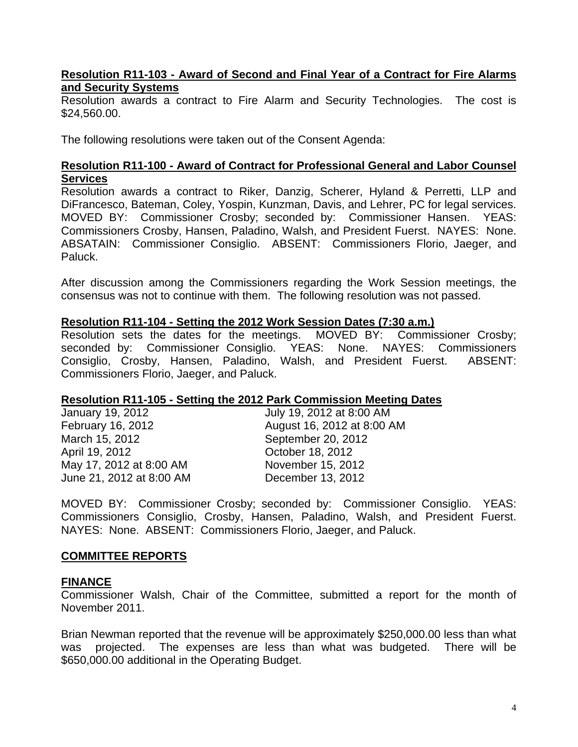### **Resolution R11-103 - Award of Second and Final Year of a Contract for Fire Alarms and Security Systems**

Resolution awards a contract to Fire Alarm and Security Technologies. The cost is \$24,560.00.

The following resolutions were taken out of the Consent Agenda:

### **Resolution R11-100 - Award of Contract for Professional General and Labor Counsel Services**

Resolution awards a contract to Riker, Danzig, Scherer, Hyland & Perretti, LLP and DiFrancesco, Bateman, Coley, Yospin, Kunzman, Davis, and Lehrer, PC for legal services. MOVED BY: Commissioner Crosby; seconded by: Commissioner Hansen. YEAS: Commissioners Crosby, Hansen, Paladino, Walsh, and President Fuerst. NAYES: None. ABSATAIN: Commissioner Consiglio. ABSENT: Commissioners Florio, Jaeger, and Paluck.

After discussion among the Commissioners regarding the Work Session meetings, the consensus was not to continue with them. The following resolution was not passed.

### **Resolution R11-104 - Setting the 2012 Work Session Dates (7:30 a.m.)**

Resolution sets the dates for the meetings. MOVED BY: Commissioner Crosby; seconded by: Commissioner Consiglio. YEAS: None. NAYES: Commissioners Consiglio, Crosby, Hansen, Paladino, Walsh, and President Fuerst. ABSENT: Commissioners Florio, Jaeger, and Paluck.

## **Resolution R11-105 - Setting the 2012 Park Commission Meeting Dates**

| July 19, 2012 at 8:00 AM   |
|----------------------------|
| August 16, 2012 at 8:00 AM |
| September 20, 2012         |
| October 18, 2012           |
| November 15, 2012          |
| December 13, 2012          |
|                            |

MOVED BY: Commissioner Crosby; seconded by: Commissioner Consiglio. YEAS: Commissioners Consiglio, Crosby, Hansen, Paladino, Walsh, and President Fuerst. NAYES: None. ABSENT: Commissioners Florio, Jaeger, and Paluck.

## **COMMITTEE REPORTS**

## **FINANCE**

Commissioner Walsh, Chair of the Committee, submitted a report for the month of November 2011.

Brian Newman reported that the revenue will be approximately \$250,000.00 less than what was projected. The expenses are less than what was budgeted. There will be \$650,000.00 additional in the Operating Budget.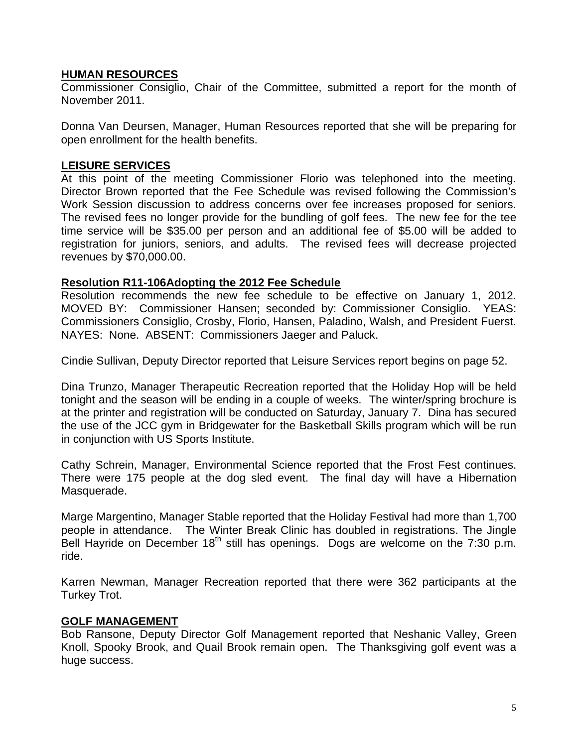## **HUMAN RESOURCES**

Commissioner Consiglio, Chair of the Committee, submitted a report for the month of November 2011.

Donna Van Deursen, Manager, Human Resources reported that she will be preparing for open enrollment for the health benefits.

# **LEISURE SERVICES**

At this point of the meeting Commissioner Florio was telephoned into the meeting. Director Brown reported that the Fee Schedule was revised following the Commission's Work Session discussion to address concerns over fee increases proposed for seniors. The revised fees no longer provide for the bundling of golf fees. The new fee for the tee time service will be \$35.00 per person and an additional fee of \$5.00 will be added to registration for juniors, seniors, and adults. The revised fees will decrease projected revenues by \$70,000.00.

# **Resolution R11-106Adopting the 2012 Fee Schedule**

Resolution recommends the new fee schedule to be effective on January 1, 2012. MOVED BY: Commissioner Hansen; seconded by: Commissioner Consiglio. YEAS: Commissioners Consiglio, Crosby, Florio, Hansen, Paladino, Walsh, and President Fuerst. NAYES: None. ABSENT: Commissioners Jaeger and Paluck.

Cindie Sullivan, Deputy Director reported that Leisure Services report begins on page 52.

Dina Trunzo, Manager Therapeutic Recreation reported that the Holiday Hop will be held tonight and the season will be ending in a couple of weeks. The winter/spring brochure is at the printer and registration will be conducted on Saturday, January 7. Dina has secured the use of the JCC gym in Bridgewater for the Basketball Skills program which will be run in conjunction with US Sports Institute.

Cathy Schrein, Manager, Environmental Science reported that the Frost Fest continues. There were 175 people at the dog sled event. The final day will have a Hibernation Masquerade.

Marge Margentino, Manager Stable reported that the Holiday Festival had more than 1,700 people in attendance. The Winter Break Clinic has doubled in registrations. The Jingle Bell Hayride on December  $18<sup>th</sup>$  still has openings. Dogs are welcome on the 7:30 p.m. ride.

Karren Newman, Manager Recreation reported that there were 362 participants at the Turkey Trot.

## **GOLF MANAGEMENT**

Bob Ransone, Deputy Director Golf Management reported that Neshanic Valley, Green Knoll, Spooky Brook, and Quail Brook remain open. The Thanksgiving golf event was a huge success.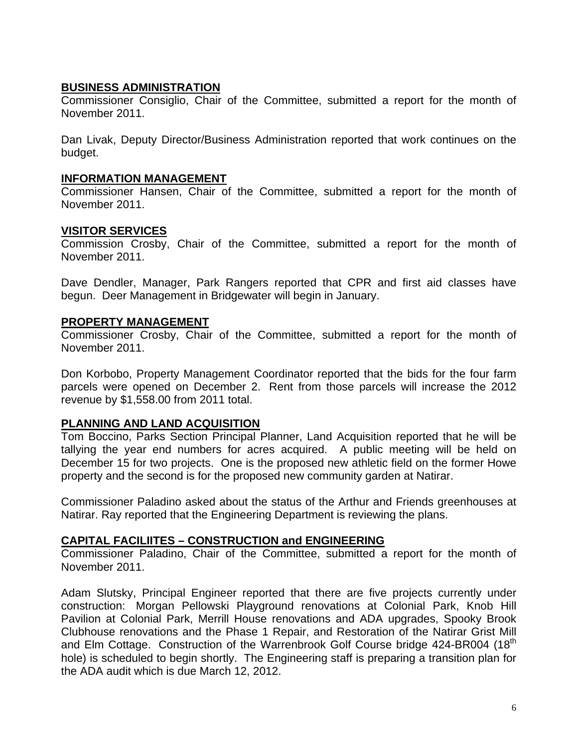# **BUSINESS ADMINISTRATION**

Commissioner Consiglio, Chair of the Committee, submitted a report for the month of November 2011.

Dan Livak, Deputy Director/Business Administration reported that work continues on the budget.

## **INFORMATION MANAGEMENT**

Commissioner Hansen, Chair of the Committee, submitted a report for the month of November 2011.

## **VISITOR SERVICES**

Commission Crosby, Chair of the Committee, submitted a report for the month of November 2011.

Dave Dendler, Manager, Park Rangers reported that CPR and first aid classes have begun. Deer Management in Bridgewater will begin in January.

## **PROPERTY MANAGEMENT**

Commissioner Crosby, Chair of the Committee, submitted a report for the month of November 2011.

Don Korbobo, Property Management Coordinator reported that the bids for the four farm parcels were opened on December 2. Rent from those parcels will increase the 2012 revenue by \$1,558.00 from 2011 total.

## **PLANNING AND LAND ACQUISITION**

Tom Boccino, Parks Section Principal Planner, Land Acquisition reported that he will be tallying the year end numbers for acres acquired. A public meeting will be held on December 15 for two projects. One is the proposed new athletic field on the former Howe property and the second is for the proposed new community garden at Natirar.

Commissioner Paladino asked about the status of the Arthur and Friends greenhouses at Natirar. Ray reported that the Engineering Department is reviewing the plans.

## **CAPITAL FACILIITES – CONSTRUCTION and ENGINEERING**

Commissioner Paladino, Chair of the Committee, submitted a report for the month of November 2011.

Adam Slutsky, Principal Engineer reported that there are five projects currently under construction: Morgan Pellowski Playground renovations at Colonial Park, Knob Hill Pavilion at Colonial Park, Merrill House renovations and ADA upgrades, Spooky Brook Clubhouse renovations and the Phase 1 Repair, and Restoration of the Natirar Grist Mill and Elm Cottage. Construction of the Warrenbrook Golf Course bridge 424-BR004 (18<sup>th</sup>) hole) is scheduled to begin shortly. The Engineering staff is preparing a transition plan for the ADA audit which is due March 12, 2012.